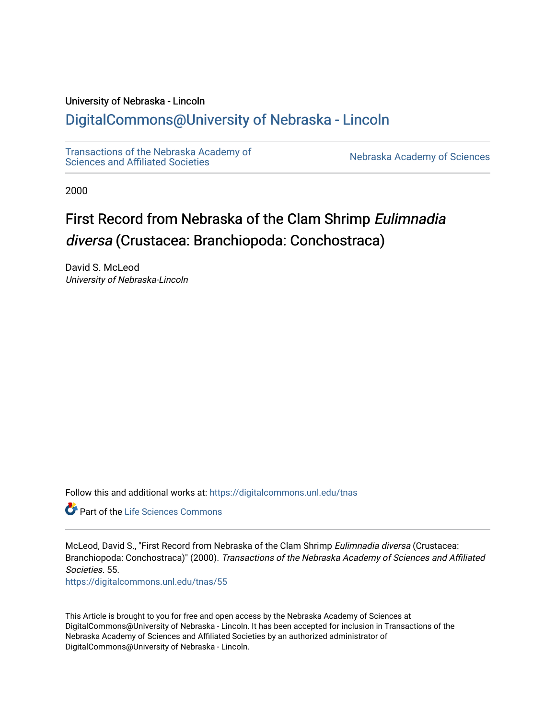### University of Nebraska - Lincoln

## [DigitalCommons@University of Nebraska - Lincoln](https://digitalcommons.unl.edu/)

[Transactions of the Nebraska Academy of](https://digitalcommons.unl.edu/tnas)  Transactions of the Nebraska Academy of Sciences<br>Sciences and Affiliated Societies

2000

# First Record from Nebraska of the Clam Shrimp Eulimnadia diversa (Crustacea: Branchiopoda: Conchostraca)

David S. McLeod University of Nebraska-Lincoln

Follow this and additional works at: [https://digitalcommons.unl.edu/tnas](https://digitalcommons.unl.edu/tnas?utm_source=digitalcommons.unl.edu%2Ftnas%2F55&utm_medium=PDF&utm_campaign=PDFCoverPages) 

**C** Part of the Life Sciences Commons

McLeod, David S., "First Record from Nebraska of the Clam Shrimp Eulimnadia diversa (Crustacea: Branchiopoda: Conchostraca)" (2000). Transactions of the Nebraska Academy of Sciences and Affiliated Societies. 55.

[https://digitalcommons.unl.edu/tnas/55](https://digitalcommons.unl.edu/tnas/55?utm_source=digitalcommons.unl.edu%2Ftnas%2F55&utm_medium=PDF&utm_campaign=PDFCoverPages)

This Article is brought to you for free and open access by the Nebraska Academy of Sciences at DigitalCommons@University of Nebraska - Lincoln. It has been accepted for inclusion in Transactions of the Nebraska Academy of Sciences and Affiliated Societies by an authorized administrator of DigitalCommons@University of Nebraska - Lincoln.